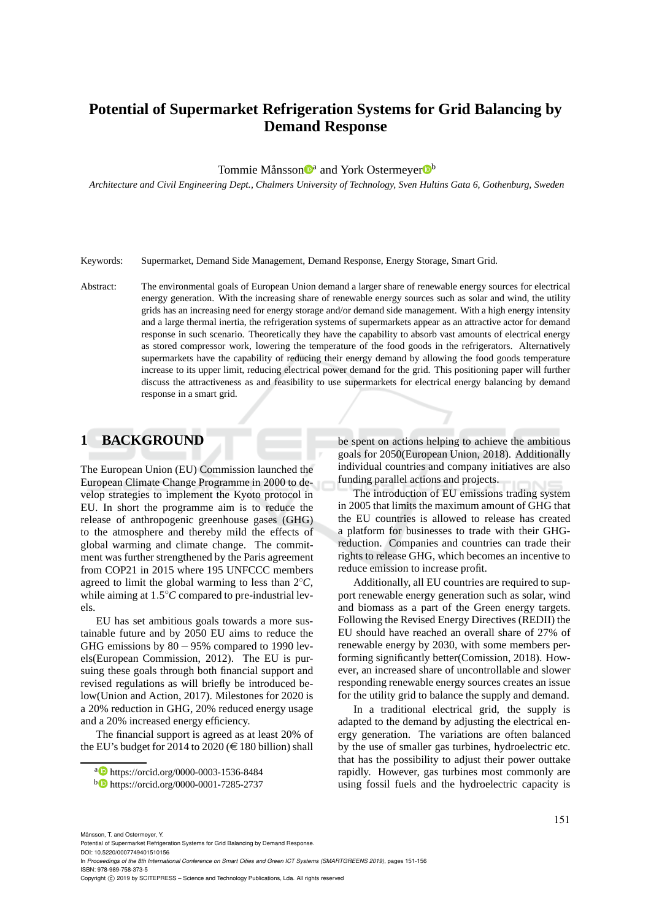# **Potential of Supermarket Refrigeration Systems for Grid Balancing by Demand Response**

Tommie Månsson<sup>n</sup> and York Ostermeyer<sup>nb</sup>

*Architecture and Civil Engineering Dept., Chalmers University of Technology, Sven Hultins Gata 6, Gothenburg, Sweden*

Keywords: Supermarket, Demand Side Management, Demand Response, Energy Storage, Smart Grid.

Abstract: The environmental goals of European Union demand a larger share of renewable energy sources for electrical energy generation. With the increasing share of renewable energy sources such as solar and wind, the utility grids has an increasing need for energy storage and/or demand side management. With a high energy intensity and a large thermal inertia, the refrigeration systems of supermarkets appear as an attractive actor for demand response in such scenario. Theoretically they have the capability to absorb vast amounts of electrical energy as stored compressor work, lowering the temperature of the food goods in the refrigerators. Alternatively supermarkets have the capability of reducing their energy demand by allowing the food goods temperature increase to its upper limit, reducing electrical power demand for the grid. This positioning paper will further discuss the attractiveness as and feasibility to use supermarkets for electrical energy balancing by demand response in a smart grid.

## **1 BACKGROUND**

The European Union (EU) Commission launched the European Climate Change Programme in 2000 to develop strategies to implement the Kyoto protocol in EU. In short the programme aim is to reduce the release of anthropogenic greenhouse gases (GHG) to the atmosphere and thereby mild the effects of global warming and climate change. The commitment was further strengthened by the Paris agreement from COP21 in 2015 where 195 UNFCCC members agreed to limit the global warming to less than 2◦*C*, while aiming at  $1.5^{\circ}$ C compared to pre-industrial levels.

EU has set ambitious goals towards a more sustainable future and by 2050 EU aims to reduce the GHG emissions by 80 − 95% compared to 1990 levels(European Commission, 2012). The EU is pursuing these goals through both financial support and revised regulations as will briefly be introduced below(Union and Action, 2017). Milestones for 2020 is a 20% reduction in GHG, 20% reduced energy usage and a 20% increased energy efficiency.

The financial support is agreed as at least 20% of the EU's budget for 2014 to 2020 ( $\in$  180 billion) shall

be spent on actions helping to achieve the ambitious goals for 2050(European Union, 2018). Additionally individual countries and company initiatives are also funding parallel actions and projects.

The introduction of EU emissions trading system in 2005 that limits the maximum amount of GHG that the EU countries is allowed to release has created a platform for businesses to trade with their GHGreduction. Companies and countries can trade their rights to release GHG, which becomes an incentive to reduce emission to increase profit.

Additionally, all EU countries are required to support renewable energy generation such as solar, wind and biomass as a part of the Green energy targets. Following the Revised Energy Directives (REDII) the EU should have reached an overall share of 27% of renewable energy by 2030, with some members performing significantly better(Comission, 2018). However, an increased share of uncontrollable and slower responding renewable energy sources creates an issue for the utility grid to balance the supply and demand.

In a traditional electrical grid, the supply is adapted to the demand by adjusting the electrical energy generation. The variations are often balanced by the use of smaller gas turbines, hydroelectric etc. that has the possibility to adjust their power outtake rapidly. However, gas turbines most commonly are using fossil fuels and the hydroelectric capacity is

In *Proceedings of the 8th International Conference on Smart Cities and Green ICT Systems (SMARTGREENS 2019)*, pages 151-156 ISBN: 978-989-758-373-5

<sup>a</sup> https://orcid.org/0000-0003-1536-8484

<sup>b</sup> https://orcid.org/0000-0001-7285-2737

Månsson, T. and Ostermeyer, Y.

Potential of Supermarket Refrigeration Systems for Grid Balancing by Demand Response. DOI: 10.5220/0007749401510156

Copyright (C) 2019 by SCITEPRESS - Science and Technology Publications, Lda. All rights reserved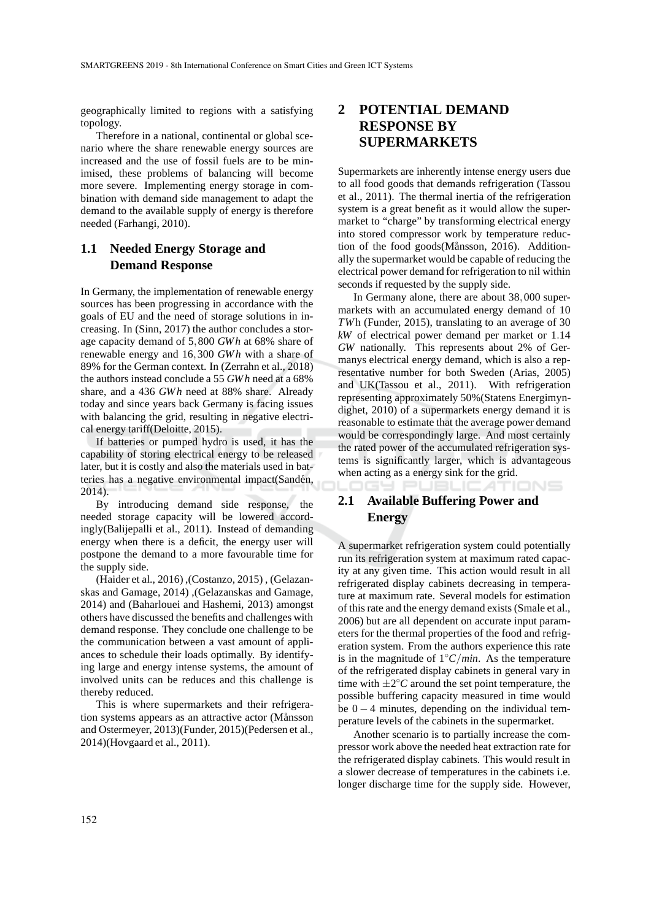geographically limited to regions with a satisfying topology.

Therefore in a national, continental or global scenario where the share renewable energy sources are increased and the use of fossil fuels are to be minimised, these problems of balancing will become more severe. Implementing energy storage in combination with demand side management to adapt the demand to the available supply of energy is therefore needed (Farhangi, 2010).

### **1.1 Needed Energy Storage and Demand Response**

In Germany, the implementation of renewable energy sources has been progressing in accordance with the goals of EU and the need of storage solutions in increasing. In (Sinn, 2017) the author concludes a storage capacity demand of 5,800 *GWh* at 68% share of renewable energy and 16,300 *GWh* with a share of 89% for the German context. In (Zerrahn et al., 2018) the authors instead conclude a 55 *GWh* need at a 68% share, and a 436 *GWh* need at 88% share. Already today and since years back Germany is facing issues with balancing the grid, resulting in negative electrical energy tariff(Deloitte, 2015).

If batteries or pumped hydro is used, it has the capability of storing electrical energy to be released later, but it is costly and also the materials used in batteries has a negative environmental impact(Sandén, 2014).

By introducing demand side response, the needed storage capacity will be lowered accordingly(Balijepalli et al., 2011). Instead of demanding energy when there is a deficit, the energy user will postpone the demand to a more favourable time for the supply side.

(Haider et al., 2016) ,(Costanzo, 2015) , (Gelazanskas and Gamage, 2014) ,(Gelazanskas and Gamage, 2014) and (Baharlouei and Hashemi, 2013) amongst others have discussed the benefits and challenges with demand response. They conclude one challenge to be the communication between a vast amount of appliances to schedule their loads optimally. By identifying large and energy intense systems, the amount of involved units can be reduces and this challenge is thereby reduced.

This is where supermarkets and their refrigeration systems appears as an attractive actor (Månsson and Ostermeyer, 2013)(Funder, 2015)(Pedersen et al., 2014)(Hovgaard et al., 2011).

### **2 POTENTIAL DEMAND RESPONSE BY SUPERMARKETS**

Supermarkets are inherently intense energy users due to all food goods that demands refrigeration (Tassou et al., 2011). The thermal inertia of the refrigeration system is a great benefit as it would allow the supermarket to "charge" by transforming electrical energy into stored compressor work by temperature reduction of the food goods(Månsson, 2016). Additionally the supermarket would be capable of reducing the electrical power demand for refrigeration to nil within seconds if requested by the supply side.

In Germany alone, there are about 38,000 supermarkets with an accumulated energy demand of 10 *TW*h (Funder, 2015), translating to an average of 30 *kW* of electrical power demand per market or 1.14 *GW* nationally. This represents about 2% of Germanys electrical energy demand, which is also a representative number for both Sweden (Arias, 2005) and UK(Tassou et al., 2011). With refrigeration representing approximately 50%(Statens Energimyndighet, 2010) of a supermarkets energy demand it is reasonable to estimate that the average power demand would be correspondingly large. And most certainly the rated power of the accumulated refrigeration systems is significantly larger, which is advantageous when acting as a energy sink for the grid.

TIONS

# **2.1 Available Buffering Power and Energy**

A supermarket refrigeration system could potentially run its refrigeration system at maximum rated capacity at any given time. This action would result in all refrigerated display cabinets decreasing in temperature at maximum rate. Several models for estimation of this rate and the energy demand exists (Smale et al., 2006) but are all dependent on accurate input parameters for the thermal properties of the food and refrigeration system. From the authors experience this rate is in the magnitude of 1◦*C*/*min*. As the temperature of the refrigerated display cabinets in general vary in time with  $\pm 2^{\circ}$ C around the set point temperature, the possible buffering capacity measured in time would be  $0 - 4$  minutes, depending on the individual temperature levels of the cabinets in the supermarket.

Another scenario is to partially increase the compressor work above the needed heat extraction rate for the refrigerated display cabinets. This would result in a slower decrease of temperatures in the cabinets i.e. longer discharge time for the supply side. However,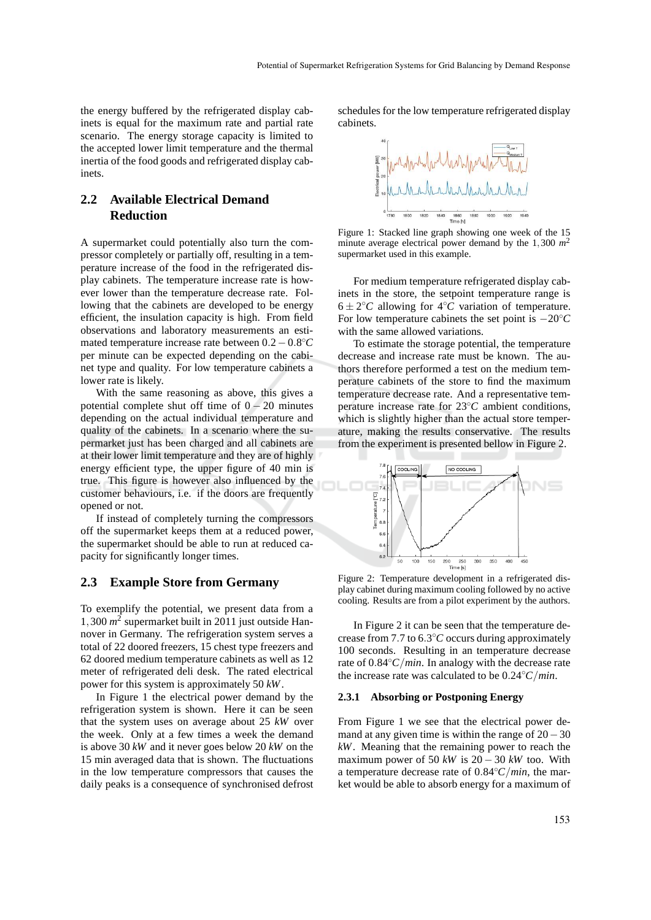the energy buffered by the refrigerated display cabinets is equal for the maximum rate and partial rate scenario. The energy storage capacity is limited to the accepted lower limit temperature and the thermal inertia of the food goods and refrigerated display cabinets.

### **2.2 Available Electrical Demand Reduction**

A supermarket could potentially also turn the compressor completely or partially off, resulting in a temperature increase of the food in the refrigerated display cabinets. The temperature increase rate is however lower than the temperature decrease rate. Following that the cabinets are developed to be energy efficient, the insulation capacity is high. From field observations and laboratory measurements an estimated temperature increase rate between 0.2−0.8 ◦*C* per minute can be expected depending on the cabinet type and quality. For low temperature cabinets a lower rate is likely.

With the same reasoning as above, this gives a potential complete shut off time of  $0 - 20$  minutes depending on the actual individual temperature and quality of the cabinets. In a scenario where the supermarket just has been charged and all cabinets are at their lower limit temperature and they are of highly energy efficient type, the upper figure of 40 min is true. This figure is however also influenced by the customer behaviours, i.e. if the doors are frequently opened or not.

If instead of completely turning the compressors off the supermarket keeps them at a reduced power, the supermarket should be able to run at reduced capacity for significantly longer times.

#### **2.3 Example Store from Germany**

To exemplify the potential, we present data from a 1,300 *m* 2 supermarket built in 2011 just outside Hannover in Germany. The refrigeration system serves a total of 22 doored freezers, 15 chest type freezers and 62 doored medium temperature cabinets as well as 12 meter of refrigerated deli desk. The rated electrical power for this system is approximately 50 *kW*.

In Figure 1 the electrical power demand by the refrigeration system is shown. Here it can be seen that the system uses on average about 25 *kW* over the week. Only at a few times a week the demand is above 30 *kW* and it never goes below 20 *kW* on the 15 min averaged data that is shown. The fluctuations in the low temperature compressors that causes the daily peaks is a consequence of synchronised defrost schedules for the low temperature refrigerated display cabinets.



Figure 1: Stacked line graph showing one week of the 15 minute average electrical power demand by the 1,300 *m* 2 supermarket used in this example.

For medium temperature refrigerated display cabinets in the store, the setpoint temperature range is  $6 \pm 2$ °*C* allowing for 4°*C* variation of temperature. For low temperature cabinets the set point is −20◦*C* with the same allowed variations.

To estimate the storage potential, the temperature decrease and increase rate must be known. The authors therefore performed a test on the medium temperature cabinets of the store to find the maximum temperature decrease rate. And a representative temperature increase rate for 23◦*C* ambient conditions, which is slightly higher than the actual store temperature, making the results conservative. The results from the experiment is presented bellow in Figure 2.



Figure 2: Temperature development in a refrigerated display cabinet during maximum cooling followed by no active cooling. Results are from a pilot experiment by the authors.

In Figure 2 it can be seen that the temperature decrease from 7.7 to 6.3°C occurs during approximately 100 seconds. Resulting in an temperature decrease rate of 0.84◦*C*/*min*. In analogy with the decrease rate the increase rate was calculated to be 0.24◦*C*/*min*.

#### **2.3.1 Absorbing or Postponing Energy**

From Figure 1 we see that the electrical power demand at any given time is within the range of  $20-30$ *kW*. Meaning that the remaining power to reach the maximum power of 50  $kW$  is 20 – 30  $kW$  too. With a temperature decrease rate of 0.84◦*C*/*min*, the market would be able to absorb energy for a maximum of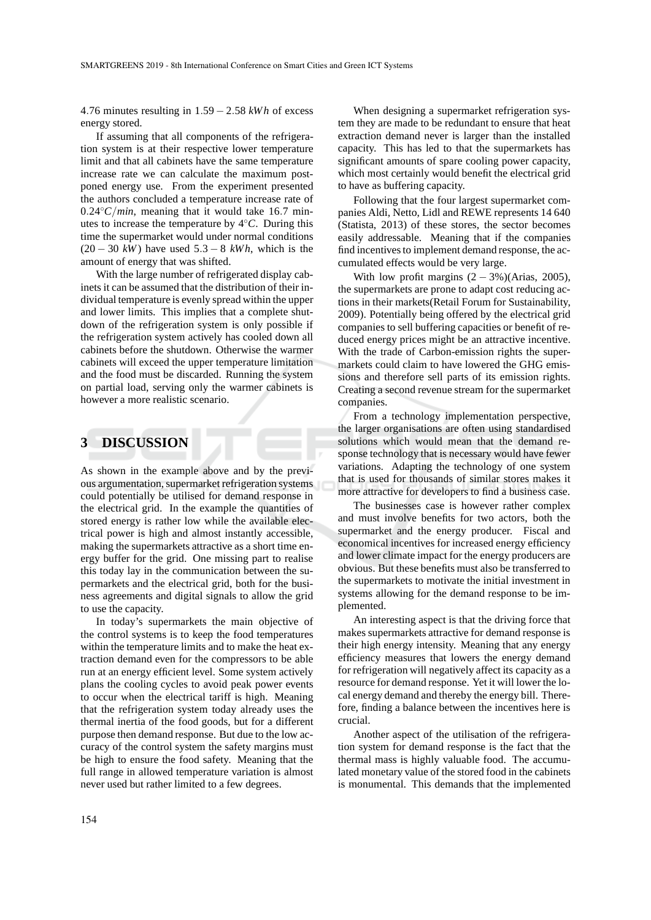4.76 minutes resulting in 1.59 − 2.58 *kWh* of excess energy stored.

If assuming that all components of the refrigeration system is at their respective lower temperature limit and that all cabinets have the same temperature increase rate we can calculate the maximum postponed energy use. From the experiment presented the authors concluded a temperature increase rate of  $0.24\degree C/min$ , meaning that it would take 16.7 minutes to increase the temperature by 4◦*C*. During this time the supermarket would under normal conditions  $(20 - 30 \text{ kW})$  have used  $5.3 - 8 \text{ kWh}$ , which is the amount of energy that was shifted.

With the large number of refrigerated display cabinets it can be assumed that the distribution of their individual temperature is evenly spread within the upper and lower limits. This implies that a complete shutdown of the refrigeration system is only possible if the refrigeration system actively has cooled down all cabinets before the shutdown. Otherwise the warmer cabinets will exceed the upper temperature limitation and the food must be discarded. Running the system on partial load, serving only the warmer cabinets is however a more realistic scenario.

### **3 DISCUSSION**

As shown in the example above and by the previous argumentation, supermarket refrigeration systems could potentially be utilised for demand response in the electrical grid. In the example the quantities of stored energy is rather low while the available electrical power is high and almost instantly accessible, making the supermarkets attractive as a short time energy buffer for the grid. One missing part to realise this today lay in the communication between the supermarkets and the electrical grid, both for the business agreements and digital signals to allow the grid to use the capacity.

In today's supermarkets the main objective of the control systems is to keep the food temperatures within the temperature limits and to make the heat extraction demand even for the compressors to be able run at an energy efficient level. Some system actively plans the cooling cycles to avoid peak power events to occur when the electrical tariff is high. Meaning that the refrigeration system today already uses the thermal inertia of the food goods, but for a different purpose then demand response. But due to the low accuracy of the control system the safety margins must be high to ensure the food safety. Meaning that the full range in allowed temperature variation is almost never used but rather limited to a few degrees.

When designing a supermarket refrigeration system they are made to be redundant to ensure that heat extraction demand never is larger than the installed capacity. This has led to that the supermarkets has significant amounts of spare cooling power capacity, which most certainly would benefit the electrical grid to have as buffering capacity.

Following that the four largest supermarket companies Aldi, Netto, Lidl and REWE represents 14 640 (Statista, 2013) of these stores, the sector becomes easily addressable. Meaning that if the companies find incentives to implement demand response, the accumulated effects would be very large.

With low profit margins  $(2 - 3\%)$ (Arias, 2005), the supermarkets are prone to adapt cost reducing actions in their markets(Retail Forum for Sustainability, 2009). Potentially being offered by the electrical grid companies to sell buffering capacities or benefit of reduced energy prices might be an attractive incentive. With the trade of Carbon-emission rights the supermarkets could claim to have lowered the GHG emissions and therefore sell parts of its emission rights. Creating a second revenue stream for the supermarket companies.

From a technology implementation perspective, the larger organisations are often using standardised solutions which would mean that the demand response technology that is necessary would have fewer variations. Adapting the technology of one system that is used for thousands of similar stores makes it more attractive for developers to find a business case.

The businesses case is however rather complex and must involve benefits for two actors, both the supermarket and the energy producer. Fiscal and economical incentives for increased energy efficiency and lower climate impact for the energy producers are obvious. But these benefits must also be transferred to the supermarkets to motivate the initial investment in systems allowing for the demand response to be implemented.

An interesting aspect is that the driving force that makes supermarkets attractive for demand response is their high energy intensity. Meaning that any energy efficiency measures that lowers the energy demand for refrigeration will negatively affect its capacity as a resource for demand response. Yet it will lower the local energy demand and thereby the energy bill. Therefore, finding a balance between the incentives here is crucial.

Another aspect of the utilisation of the refrigeration system for demand response is the fact that the thermal mass is highly valuable food. The accumulated monetary value of the stored food in the cabinets is monumental. This demands that the implemented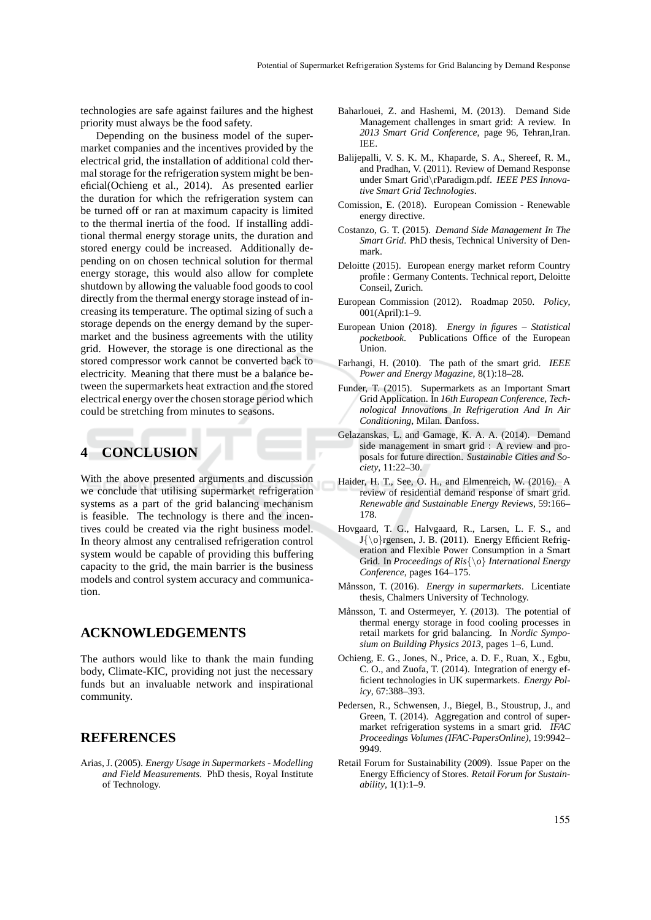technologies are safe against failures and the highest priority must always be the food safety.

Depending on the business model of the supermarket companies and the incentives provided by the electrical grid, the installation of additional cold thermal storage for the refrigeration system might be beneficial(Ochieng et al., 2014). As presented earlier the duration for which the refrigeration system can be turned off or ran at maximum capacity is limited to the thermal inertia of the food. If installing additional thermal energy storage units, the duration and stored energy could be increased. Additionally depending on on chosen technical solution for thermal energy storage, this would also allow for complete shutdown by allowing the valuable food goods to cool directly from the thermal energy storage instead of increasing its temperature. The optimal sizing of such a storage depends on the energy demand by the supermarket and the business agreements with the utility grid. However, the storage is one directional as the stored compressor work cannot be converted back to electricity. Meaning that there must be a balance between the supermarkets heat extraction and the stored electrical energy over the chosen storage period which could be stretching from minutes to seasons.

## **4 CONCLUSION**

With the above presented arguments and discussion we conclude that utilising supermarket refrigeration systems as a part of the grid balancing mechanism is feasible. The technology is there and the incentives could be created via the right business model. In theory almost any centralised refrigeration control system would be capable of providing this buffering capacity to the grid, the main barrier is the business models and control system accuracy and communication.

#### **ACKNOWLEDGEMENTS**

The authors would like to thank the main funding body, Climate-KIC, providing not just the necessary funds but an invaluable network and inspirational community.

### **REFERENCES**

Arias, J. (2005). *Energy Usage in Supermarkets - Modelling and Field Measurements*. PhD thesis, Royal Institute of Technology.

- Baharlouei, Z. and Hashemi, M. (2013). Demand Side Management challenges in smart grid: A review. In *2013 Smart Grid Conference*, page 96, Tehran,Iran. IEE.
- Balijepalli, V. S. K. M., Khaparde, S. A., Shereef, R. M., and Pradhan, V. (2011). Review of Demand Response under Smart Grid\rParadigm.pdf. *IEEE PES Innovative Smart Grid Technologies*.
- Comission, E. (2018). European Comission Renewable energy directive.
- Costanzo, G. T. (2015). *Demand Side Management In The Smart Grid*. PhD thesis, Technical University of Denmark.
- Deloitte (2015). European energy market reform Country profile : Germany Contents. Technical report, Deloitte Conseil, Zurich.
- European Commission (2012). Roadmap 2050. *Policy*, 001(April):1–9.
- European Union (2018). *Energy in figures Statistical pocketbook*. Publications Office of the European Union.
- Farhangi, H. (2010). The path of the smart grid. *IEEE Power and Energy Magazine*, 8(1):18–28.
- Funder, T. (2015). Supermarkets as an Important Smart Grid Application. In *16th European Conference, Technological Innovations In Refrigeration And In Air Conditioning*, Milan. Danfoss.
- Gelazanskas, L. and Gamage, K. A. A. (2014). Demand side management in smart grid : A review and proposals for future direction. *Sustainable Cities and Society*, 11:22–30.
- Haider, H. T., See, O. H., and Elmenreich, W. (2016). A review of residential demand response of smart grid. *Renewable and Sustainable Energy Reviews*, 59:166– 178.
- Hovgaard, T. G., Halvgaard, R., Larsen, L. F. S., and  $J\{\o\}$ rgensen, J. B. (2011). Energy Efficient Refrigeration and Flexible Power Consumption in a Smart Grid. In *Proceedings of Ris*{\*o*} *International Energy Conference*, pages 164–175.
- Månsson, T. (2016). *Energy in supermarkets*. Licentiate thesis, Chalmers University of Technology.
- Månsson, T. and Ostermeyer, Y. (2013). The potential of thermal energy storage in food cooling processes in retail markets for grid balancing. In *Nordic Symposium on Building Physics 2013*, pages 1–6, Lund.
- Ochieng, E. G., Jones, N., Price, a. D. F., Ruan, X., Egbu, C. O., and Zuofa, T. (2014). Integration of energy efficient technologies in UK supermarkets. *Energy Policy*, 67:388–393.
- Pedersen, R., Schwensen, J., Biegel, B., Stoustrup, J., and Green, T. (2014). Aggregation and control of supermarket refrigeration systems in a smart grid. *IFAC Proceedings Volumes (IFAC-PapersOnline)*, 19:9942– 9949.
- Retail Forum for Sustainability (2009). Issue Paper on the Energy Efficiency of Stores. *Retail Forum for Sustainability*, 1(1):1–9.